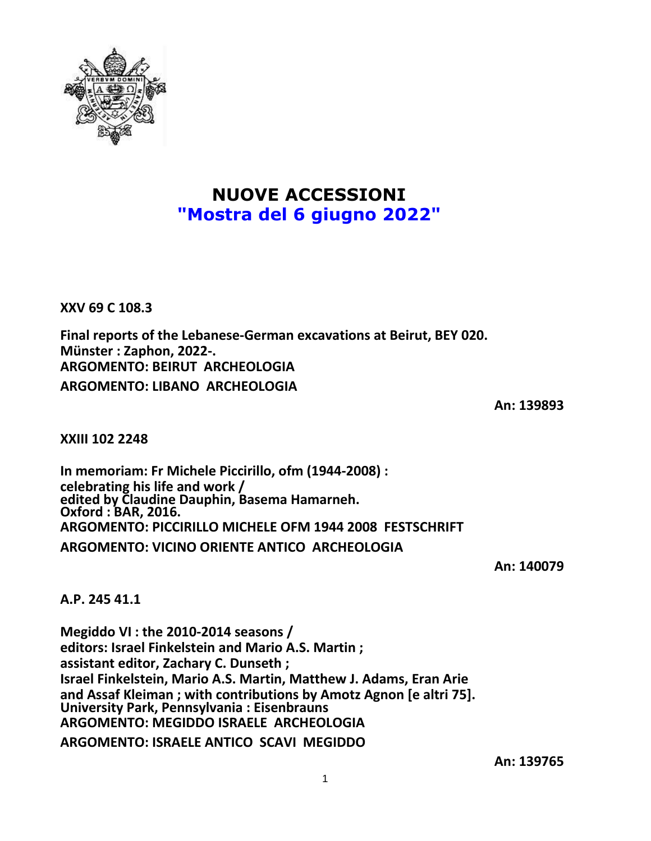

## **NUOVE ACCESSIONI "Mostra del 6 giugno 2022"**

**XXV 69 C 108.3**

**Final reports of the Lebanese-German excavations at Beirut, BEY 020. Münster : Zaphon, 2022-. ARGOMENTO: BEIRUT ARCHEOLOGIA ARGOMENTO: LIBANO ARCHEOLOGIA**

**An: 139893**

**XXIII 102 2248**

**In memoriam: Fr Michele Piccirillo, ofm (1944-2008) : celebrating his life and work / edited by Claudine Dauphin, Basema Hamarneh. Oxford : BAR, 2016. ARGOMENTO: PICCIRILLO MICHELE OFM 1944 2008 FESTSCHRIFT ARGOMENTO: VICINO ORIENTE ANTICO ARCHEOLOGIA**

**An: 140079**

**A.P. 245 41.1**

**Megiddo VI : the 2010-2014 seasons / editors: Israel Finkelstein and Mario A.S. Martin ; assistant editor, Zachary C. Dunseth ; Israel Finkelstein, Mario A.S. Martin, Matthew J. Adams, Eran Arie and Assaf Kleiman ; with contributions by Amotz Agnon [e altri 75]. University Park, Pennsylvania : Eisenbrauns ARGOMENTO: MEGIDDO ISRAELE ARCHEOLOGIA**

**ARGOMENTO: ISRAELE ANTICO SCAVI MEGIDDO**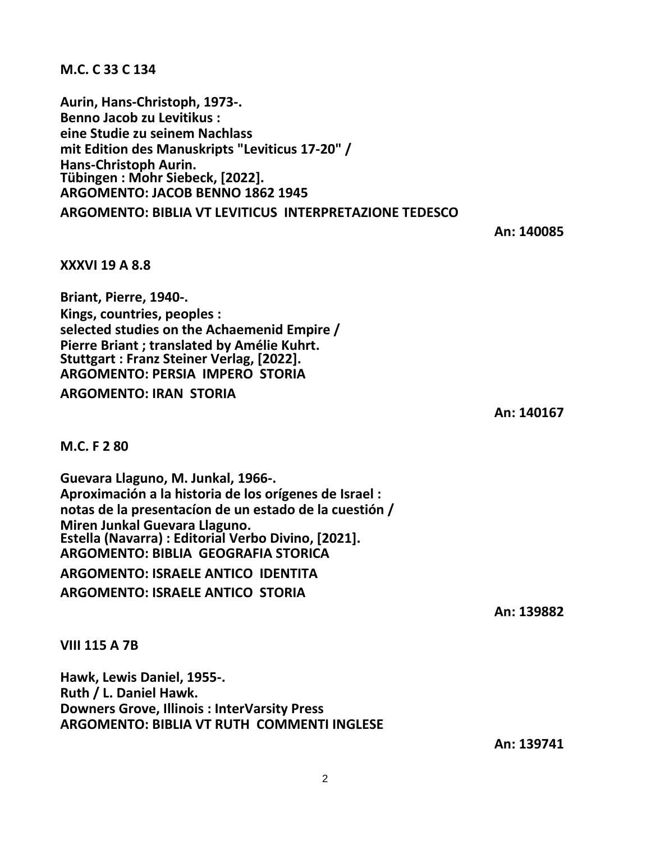**M.C. C 33 C 134**

**Aurin, Hans-Christoph, 1973-. Benno Jacob zu Levitikus : eine Studie zu seinem Nachlass mit Edition des Manuskripts "Leviticus 17-20" / Hans-Christoph Aurin. Tübingen : Mohr Siebeck, [2022]. ARGOMENTO: JACOB BENNO 1862 1945**

**ARGOMENTO: BIBLIA VT LEVITICUS INTERPRETAZIONE TEDESCO**

**An: 140085**

**XXXVI 19 A 8.8**

**Briant, Pierre, 1940-. Kings, countries, peoples : selected studies on the Achaemenid Empire / Pierre Briant ; translated by Amélie Kuhrt. Stuttgart : Franz Steiner Verlag, [2022]. ARGOMENTO: PERSIA IMPERO STORIA**

**ARGOMENTO: IRAN STORIA**

**An: 140167**

**M.C. F 2 80**

**Guevara Llaguno, M. Junkal, 1966-. Aproximación a la historia de los orígenes de Israel : notas de la presentacíon de un estado de la cuestión / Miren Junkal Guevara Llaguno. Estella (Navarra) : Editorial Verbo Divino, [2021]. ARGOMENTO: BIBLIA GEOGRAFIA STORICA ARGOMENTO: ISRAELE ANTICO IDENTITA ARGOMENTO: ISRAELE ANTICO STORIA**

**An: 139882**

**VIII 115 A 7B**

**Hawk, Lewis Daniel, 1955-. Ruth / L. Daniel Hawk. Downers Grove, Illinois : InterVarsity Press ARGOMENTO: BIBLIA VT RUTH COMMENTI INGLESE**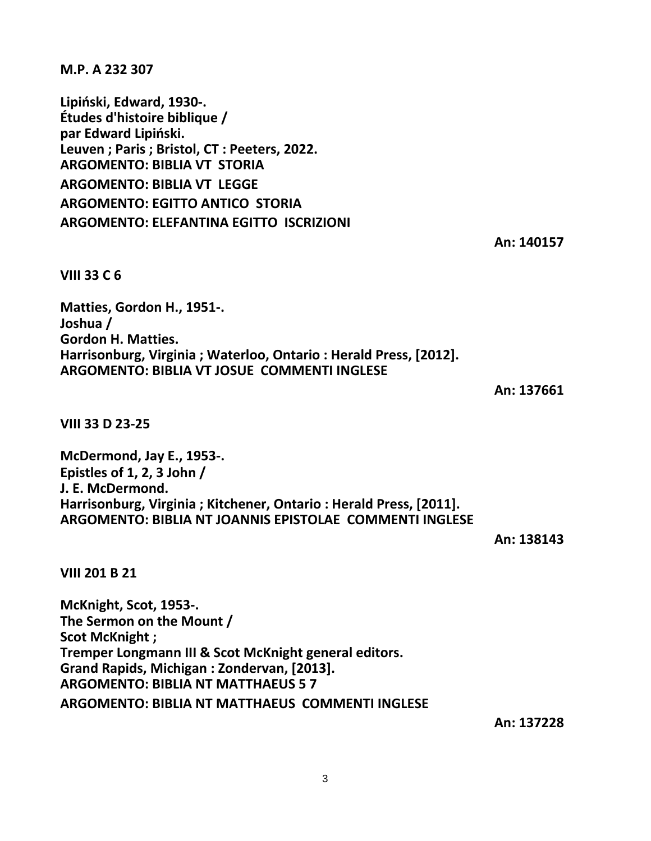3

**M.P. A 232 307**

**Lipiński, Edward, 1930-. Études d'histoire biblique / par Edward Lipiński. Leuven ; Paris ; Bristol, CT : Peeters, 2022. ARGOMENTO: BIBLIA VT STORIA ARGOMENTO: BIBLIA VT LEGGE ARGOMENTO: EGITTO ANTICO STORIA ARGOMENTO: ELEFANTINA EGITTO ISCRIZIONI**

**An: 140157**

**VIII 33 C 6**

**Matties, Gordon H., 1951-. Joshua / Gordon H. Matties. Harrisonburg, Virginia ; Waterloo, Ontario : Herald Press, [2012]. ARGOMENTO: BIBLIA VT JOSUE COMMENTI INGLESE**

**An: 137661**

**VIII 33 D 23-25**

**McDermond, Jay E., 1953-. Epistles of 1, 2, 3 John / J. E. McDermond. Harrisonburg, Virginia ; Kitchener, Ontario : Herald Press, [2011]. ARGOMENTO: BIBLIA NT JOANNIS EPISTOLAE COMMENTI INGLESE**

**An: 138143**

**VIII 201 B 21**

**McKnight, Scot, 1953-. The Sermon on the Mount / Scot McKnight ; Tremper Longmann III & Scot McKnight general editors. Grand Rapids, Michigan : Zondervan, [2013]. ARGOMENTO: BIBLIA NT MATTHAEUS 5 7 ARGOMENTO: BIBLIA NT MATTHAEUS COMMENTI INGLESE**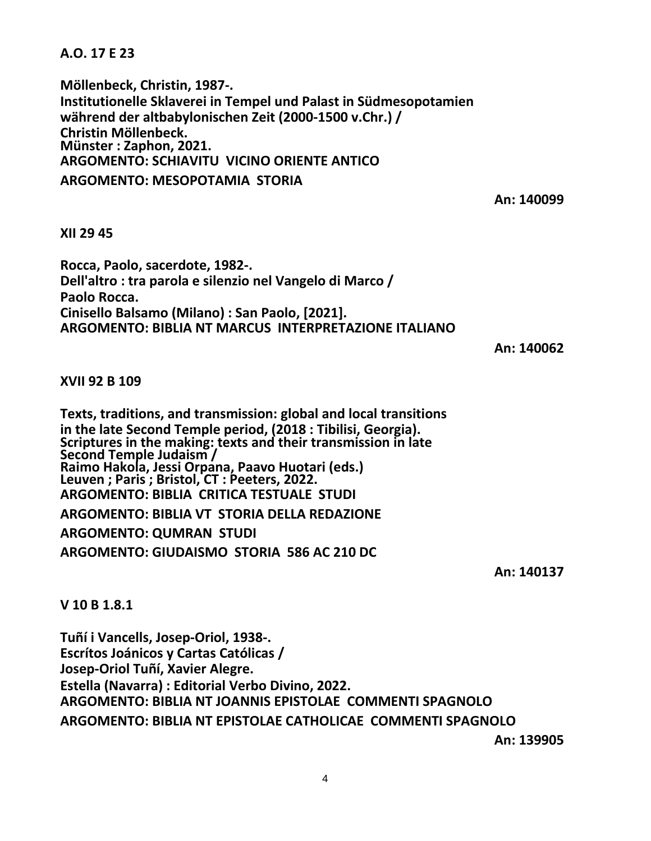**A.O. 17 E 23**

**Möllenbeck, Christin, 1987-. Institutionelle Sklaverei in Tempel und Palast in Südmesopotamien während der altbabylonischen Zeit (2000-1500 v.Chr.) / Christin Möllenbeck. Münster : Zaphon, 2021. ARGOMENTO: SCHIAVITU VICINO ORIENTE ANTICO ARGOMENTO: MESOPOTAMIA STORIA**

**An: 140099**

## **XII 29 45**

**Rocca, Paolo, sacerdote, 1982-. Dell'altro : tra parola e silenzio nel Vangelo di Marco / Paolo Rocca. Cinisello Balsamo (Milano) : San Paolo, [2021]. ARGOMENTO: BIBLIA NT MARCUS INTERPRETAZIONE ITALIANO**

**An: 140062**

## **XVII 92 B 109**

**Texts, traditions, and transmission: global and local transitions in the late Second Temple period, (2018 : Tibilisi, Georgia). Scriptures in the making: texts and their transmission in late Second Temple Judaism / Raimo Hakola, Jessi Orpana, Paavo Huotari (eds.) Leuven ; Paris ; Bristol, CT : Peeters, 2022. ARGOMENTO: BIBLIA CRITICA TESTUALE STUDI ARGOMENTO: BIBLIA VT STORIA DELLA REDAZIONE ARGOMENTO: QUMRAN STUDI ARGOMENTO: GIUDAISMO STORIA 586 AC 210 DC**

**An: 140137**

## **V 10 B 1.8.1**

**Tuñí i Vancells, Josep-Oriol, 1938-. Escrítos Joánicos y Cartas Católicas / Josep-Oriol Tuñí, Xavier Alegre. Estella (Navarra) : Editorial Verbo Divino, 2022. ARGOMENTO: BIBLIA NT JOANNIS EPISTOLAE COMMENTI SPAGNOLO ARGOMENTO: BIBLIA NT EPISTOLAE CATHOLICAE COMMENTI SPAGNOLO**